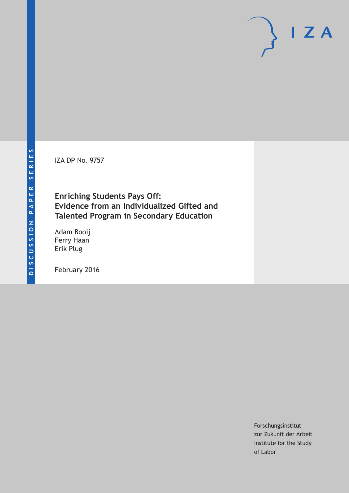IZA DP No. 9757

# **Enriching Students Pays Off: Evidence from an Individualized Gifted and Talented Program in Secondary Education**

Adam Booij Ferry Haan Erik Plug

February 2016

Forschungsinstitut zur Zukunft der Arbeit Institute for the Study of Labor

 $I Z A$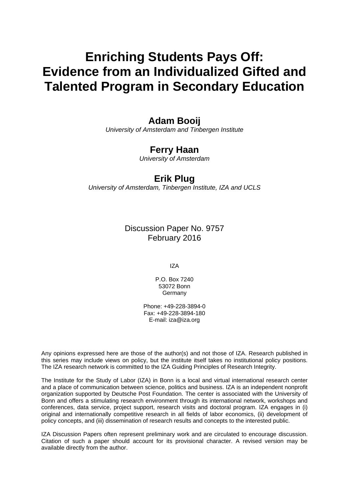# **Enriching Students Pays Off: Evidence from an Individualized Gifted and Talented Program in Secondary Education**

# **Adam Booij**

*University of Amsterdam and Tinbergen Institute* 

# **Ferry Haan**

*University of Amsterdam* 

## **Erik Plug**

*University of Amsterdam, Tinbergen Institute, IZA and UCLS*

Discussion Paper No. 9757 February 2016

IZA

P.O. Box 7240 53072 Bonn Germany

Phone: +49-228-3894-0 Fax: +49-228-3894-180 E-mail: iza@iza.org

Any opinions expressed here are those of the author(s) and not those of IZA. Research published in this series may include views on policy, but the institute itself takes no institutional policy positions. The IZA research network is committed to the IZA Guiding Principles of Research Integrity.

The Institute for the Study of Labor (IZA) in Bonn is a local and virtual international research center and a place of communication between science, politics and business. IZA is an independent nonprofit organization supported by Deutsche Post Foundation. The center is associated with the University of Bonn and offers a stimulating research environment through its international network, workshops and conferences, data service, project support, research visits and doctoral program. IZA engages in (i) original and internationally competitive research in all fields of labor economics, (ii) development of policy concepts, and (iii) dissemination of research results and concepts to the interested public.

IZA Discussion Papers often represent preliminary work and are circulated to encourage discussion. Citation of such a paper should account for its provisional character. A revised version may be available directly from the author.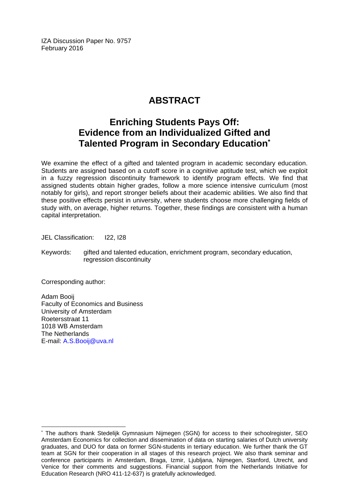IZA Discussion Paper No. 9757 February 2016

# **ABSTRACT**

# **Enriching Students Pays Off: Evidence from an Individualized Gifted and Talented Program in Secondary Education\***

We examine the effect of a gifted and talented program in academic secondary education. Students are assigned based on a cutoff score in a cognitive aptitude test, which we exploit in a fuzzy regression discontinuity framework to identify program effects. We find that assigned students obtain higher grades, follow a more science intensive curriculum (most notably for girls), and report stronger beliefs about their academic abilities. We also find that these positive effects persist in university, where students choose more challenging fields of study with, on average, higher returns. Together, these findings are consistent with a human capital interpretation.

JEL Classification: I22, I28

Keywords: gifted and talented education, enrichment program, secondary education, regression discontinuity

Corresponding author:

 $\overline{\phantom{a}}$ 

Adam Booij Faculty of Economics and Business University of Amsterdam Roetersstraat 11 1018 WB Amsterdam The Netherlands E-mail: A.S.Booij@uva.nl

<sup>\*</sup> The authors thank Stedelijk Gymnasium Nijmegen (SGN) for access to their schoolregister, SEO Amsterdam Economics for collection and dissemination of data on starting salaries of Dutch university graduates, and DUO for data on former SGN-students in tertiary education. We further thank the GT team at SGN for their cooperation in all stages of this research project. We also thank seminar and conference participants in Amsterdam, Braga, Izmir, Ljubljana, Nijmegen, Stanford, Utrecht, and Venice for their comments and suggestions. Financial support from the Netherlands Initiative for Education Research (NRO 411-12-637) is gratefully acknowledged.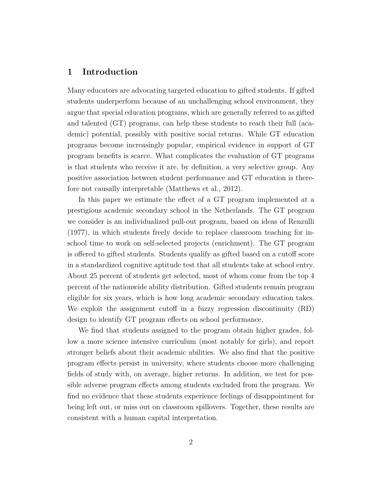#### **1 Introduction**

Many educators are advocating targeted education to gifted students. If gifted students underperform because of an unchallenging school environment, they argue that special education programs, which are generally referred to as gifted and talented (GT) programs, can help these students to reach their full (academic) potential, possibly with positive social returns. While GT education programs become increasingly popular, empirical evidence in support of GT program benefits is scarce. What complicates the evaluation of GT programs is that students who receive it are, by definition, a very selective group. Any positive association between student performance and GT education is therefore not causally interpretable (Matthews et al., 2012).

In this paper we estimate the effect of a GT program implemented at a prestigious academic secondary school in the Netherlands. The GT program we consider is an individualized pull-out program, based on ideas of Renzulli (1977), in which students freely decide to replace classroom teaching for inschool time to work on self-selected projects (enrichment). The GT program is offered to gifted students. Students qualify as gifted based on a cutoff score in a standardized cognitive aptitude test that all students take at school entry. About 25 percent of students get selected, most of whom come from the top 4 percent of the nationwide ability distribution. Gifted students remain program eligible for six years, which is how long academic secondary education takes. We exploit the assignment cutoff in a fuzzy regression discontinuity (RD) design to identify GT program effects on school performance.

We find that students assigned to the program obtain higher grades, follow a more science intensive curriculum (most notably for girls), and report stronger beliefs about their academic abilities. We also find that the positive program effects persist in university, where students choose more challenging fields of study with, on average, higher returns. In addition, we test for possible adverse program effects among students excluded from the program. We find no evidence that these students experience feelings of disappointment for being left out, or miss out on classroom spillovers. Together, these results are consistent with a human capital interpretation.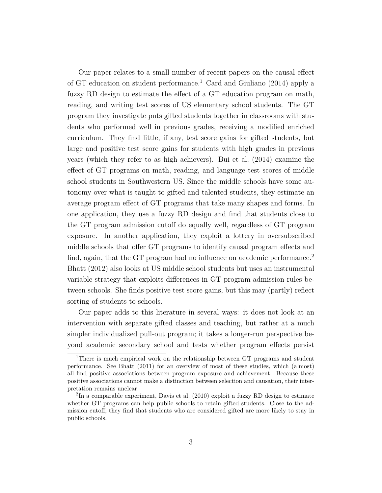Our paper relates to a small number of recent papers on the causal effect of GT education on student performance.<sup>1</sup> Card and Giuliano (2014) apply a fuzzy RD design to estimate the effect of a GT education program on math, reading, and writing test scores of US elementary school students. The GT program they investigate puts gifted students together in classrooms with students who performed well in previous grades, receiving a modified enriched curriculum. They find little, if any, test score gains for gifted students, but large and positive test score gains for students with high grades in previous years (which they refer to as high achievers). Bui et al. (2014) examine the effect of GT programs on math, reading, and language test scores of middle school students in Southwestern US. Since the middle schools have some autonomy over what is taught to gifted and talented students, they estimate an average program effect of GT programs that take many shapes and forms. In one application, they use a fuzzy RD design and find that students close to the GT program admission cutoff do equally well, regardless of GT program exposure. In another application, they exploit a lottery in oversubscribed middle schools that offer GT programs to identify causal program effects and find, again, that the GT program had no influence on academic performance.<sup>2</sup> Bhatt (2012) also looks at US middle school students but uses an instrumental variable strategy that exploits differences in GT program admission rules between schools. She finds positive test score gains, but this may (partly) reflect sorting of students to schools.

Our paper adds to this literature in several ways: it does not look at an intervention with separate gifted classes and teaching, but rather at a much simpler individualized pull-out program; it takes a longer-run perspective beyond academic secondary school and tests whether program effects persist

<sup>1</sup>There is much empirical work on the relationship between GT programs and student performance. See Bhatt (2011) for an overview of most of these studies, which (almost) all find positive associations between program exposure and achievement. Because these positive associations cannot make a distinction between selection and causation, their interpretation remains unclear.

<sup>&</sup>lt;sup>2</sup>In a comparable experiment, Davis et al. (2010) exploit a fuzzy RD design to estimate whether GT programs can help public schools to retain gifted students. Close to the admission cutoff, they find that students who are considered gifted are more likely to stay in public schools.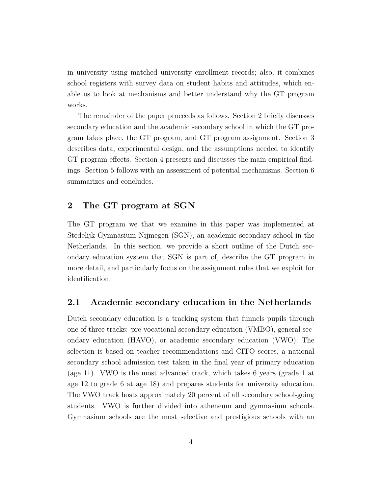in university using matched university enrollment records; also, it combines school registers with survey data on student habits and attitudes, which enable us to look at mechanisms and better understand why the GT program works.

The remainder of the paper proceeds as follows. Section 2 briefly discusses secondary education and the academic secondary school in which the GT program takes place, the GT program, and GT program assignment. Section 3 describes data, experimental design, and the assumptions needed to identify GT program effects. Section 4 presents and discusses the main empirical findings. Section 5 follows with an assessment of potential mechanisms. Section 6 summarizes and concludes.

#### **2 The GT program at SGN**

The GT program we that we examine in this paper was implemented at Stedelijk Gymnasium Nijmegen (SGN), an academic secondary school in the Netherlands. In this section, we provide a short outline of the Dutch secondary education system that SGN is part of, describe the GT program in more detail, and particularly focus on the assignment rules that we exploit for identification.

#### **2.1 Academic secondary education in the Netherlands**

Dutch secondary education is a tracking system that funnels pupils through one of three tracks: pre-vocational secondary education (VMBO), general secondary education (HAVO), or academic secondary education (VWO). The selection is based on teacher recommendations and CITO scores, a national secondary school admission test taken in the final year of primary education (age 11). VWO is the most advanced track, which takes 6 years (grade 1 at age 12 to grade 6 at age 18) and prepares students for university education. The VWO track hosts approximately 20 percent of all secondary school-going students. VWO is further divided into atheneum and gymnasium schools. Gymnasium schools are the most selective and prestigious schools with an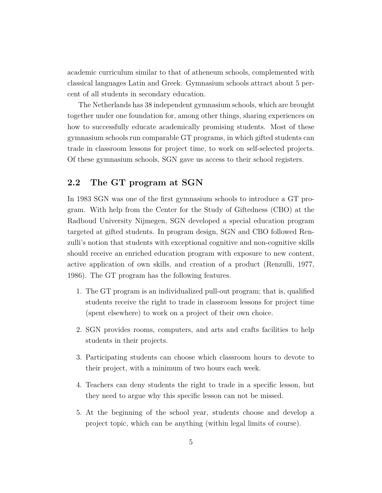academic curriculum similar to that of atheneum schools, complemented with classical languages Latin and Greek. Gymnasium schools attract about 5 percent of all students in secondary education.

The Netherlands has 38 independent gymnasium schools, which are brought together under one foundation for, among other things, sharing experiences on how to successfully educate academically promising students. Most of these gymnasium schools run comparable GT programs, in which gifted students can trade in classroom lessons for project time, to work on self-selected projects. Of these gymnasium schools, SGN gave us access to their school registers.

#### **2.2 The GT program at SGN**

In 1983 SGN was one of the first gymnasium schools to introduce a GT program. With help from the Center for the Study of Giftedness (CBO) at the Radboud University Nijmegen, SGN developed a special education program targeted at gifted students. In program design, SGN and CBO followed Renzulli's notion that students with exceptional cognitive and non-cognitive skills should receive an enriched education program with exposure to new content, active application of own skills, and creation of a product (Renzulli, 1977, 1986). The GT program has the following features.

- 1. The GT program is an individualized pull-out program; that is, qualified students receive the right to trade in classroom lessons for project time (spent elsewhere) to work on a project of their own choice.
- 2. SGN provides rooms, computers, and arts and crafts facilities to help students in their projects.
- 3. Participating students can choose which classroom hours to devote to their project, with a minimum of two hours each week.
- 4. Teachers can deny students the right to trade in a specific lesson, but they need to argue why this specific lesson can not be missed.
- 5. At the beginning of the school year, students choose and develop a project topic, which can be anything (within legal limits of course).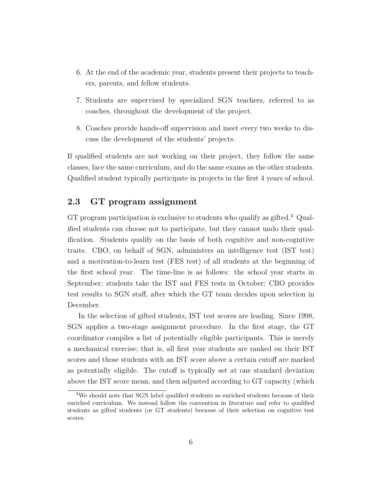- 6. At the end of the academic year, students present their projects to teachers, parents, and fellow students.
- 7. Students are supervised by specialized SGN teachers, referred to as coaches, throughout the development of the project.
- 8. Coaches provide hands-off supervision and meet every two weeks to discuss the development of the students' projects.

If qualified students are not working on their project, they follow the same classes, face the same curriculum, and do the same exams as the other students. Qualified student typically participate in projects in the first 4 years of school.

#### **2.3 GT program assignment**

GT program participation is exclusive to students who qualify as gifted.<sup>3</sup> Qualified students can choose not to participate, but they cannot undo their qualification. Students qualify on the basis of both cognitive and non-cognitive traits. CBO, on behalf of SGN, administers an intelligence test (IST test) and a motivation-to-learn test (FES test) of all students at the beginning of the first school year. The time-line is as follows: the school year starts in September; students take the IST and FES tests in October; CBO provides test results to SGN staff, after which the GT team decides upon selection in December.

In the selection of gifted students, IST test scores are leading. Since 1998, SGN applies a two-stage assignment procedure. In the first stage, the GT coordinator compiles a list of potentially eligible participants. This is merely a mechanical exercise; that is, all first year students are ranked on their IST scores and those students with an IST score above a certain cutoff are marked as potentially eligible. The cutoff is typically set at one standard deviation above the IST score mean, and then adjusted according to GT capacity (which

<sup>3</sup>We should note that SGN label qualified students as enriched students because of their enriched curriculum. We instead follow the convention in literature and refer to qualified students as gifted students (or GT students) because of their selection on cognitive test scores.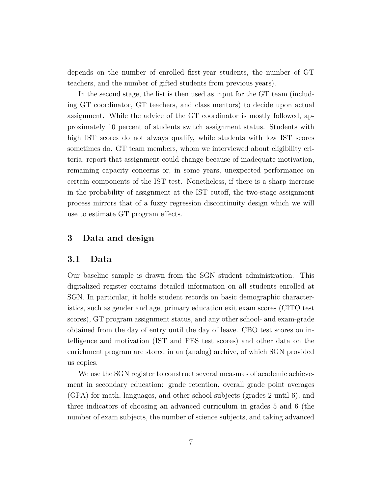depends on the number of enrolled first-year students, the number of GT teachers, and the number of gifted students from previous years).

In the second stage, the list is then used as input for the GT team (including GT coordinator, GT teachers, and class mentors) to decide upon actual assignment. While the advice of the GT coordinator is mostly followed, approximately 10 percent of students switch assignment status. Students with high IST scores do not always qualify, while students with low IST scores sometimes do. GT team members, whom we interviewed about eligibility criteria, report that assignment could change because of inadequate motivation, remaining capacity concerns or, in some years, unexpected performance on certain components of the IST test. Nonetheless, if there is a sharp increase in the probability of assignment at the IST cutoff, the two-stage assignment process mirrors that of a fuzzy regression discontinuity design which we will use to estimate GT program effects.

#### **3 Data and design**

#### **3.1 Data**

Our baseline sample is drawn from the SGN student administration. This digitalized register contains detailed information on all students enrolled at SGN. In particular, it holds student records on basic demographic characteristics, such as gender and age, primary education exit exam scores (CITO test scores), GT program assignment status, and any other school- and exam-grade obtained from the day of entry until the day of leave. CBO test scores on intelligence and motivation (IST and FES test scores) and other data on the enrichment program are stored in an (analog) archive, of which SGN provided us copies.

We use the SGN register to construct several measures of academic achievement in secondary education: grade retention, overall grade point averages (GPA) for math, languages, and other school subjects (grades 2 until 6), and three indicators of choosing an advanced curriculum in grades 5 and 6 (the number of exam subjects, the number of science subjects, and taking advanced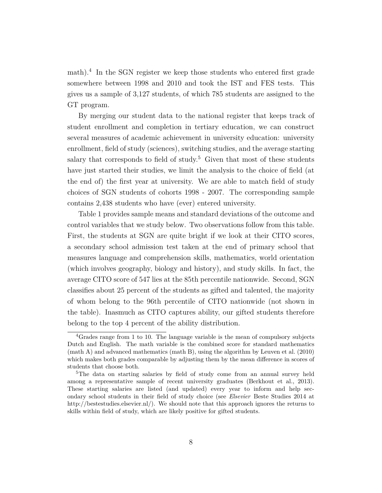math).<sup>4</sup> In the SGN register we keep those students who entered first grade somewhere between 1998 and 2010 and took the IST and FES tests. This gives us a sample of 3,127 students, of which 785 students are assigned to the GT program.

By merging our student data to the national register that keeps track of student enrollment and completion in tertiary education, we can construct several measures of academic achievement in university education: university enrollment, field of study (sciences), switching studies, and the average starting salary that corresponds to field of study.<sup>5</sup> Given that most of these students have just started their studies, we limit the analysis to the choice of field (at the end of) the first year at university. We are able to match field of study choices of SGN students of cohorts 1998 - 2007. The corresponding sample contains 2,438 students who have (ever) entered university.

Table 1 provides sample means and standard deviations of the outcome and control variables that we study below. Two observations follow from this table. First, the students at SGN are quite bright if we look at their CITO scores, a secondary school admission test taken at the end of primary school that measures language and comprehension skills, mathematics, world orientation (which involves geography, biology and history), and study skills. In fact, the average CITO score of 547 lies at the 85th percentile nationwide. Second, SGN classifies about 25 percent of the students as gifted and talented, the majority of whom belong to the 96th percentile of CITO nationwide (not shown in the table). Inasmuch as CITO captures ability, our gifted students therefore belong to the top 4 percent of the ability distribution.

<sup>4</sup>Grades range from 1 to 10. The language variable is the mean of compulsory subjects Dutch and English. The math variable is the combined score for standard mathematics (math A) and advanced mathematics (math B), using the algorithm by Leuven et al. (2010) which makes both grades comparable by adjusting them by the mean difference in scores of students that choose both.

<sup>&</sup>lt;sup>5</sup>The data on starting salaries by field of study come from an annual survey held among a representative sample of recent university graduates (Berkhout et al., 2013). These starting salaries are listed (and updated) every year to inform and help secondary school students in their field of study choice (see *Elsevier* Beste Studies 2014 at http://bestestudies.elsevier.nl/). We should note that this approach ignores the returns to skills within field of study, which are likely positive for gifted students.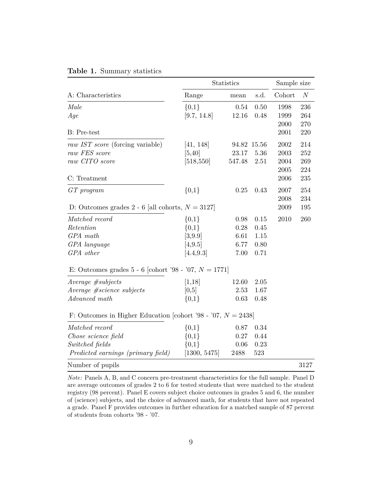|                                                                 | Statistics   |        |             | Sample size |                  |  |
|-----------------------------------------------------------------|--------------|--------|-------------|-------------|------------------|--|
| A: Characteristics                                              | Range        | mean   | s.d.        | Cohort      | $\boldsymbol{N}$ |  |
| Male                                                            | ${0,1}$      | 0.54   | 0.50        | 1998        | 236              |  |
| Age                                                             | [9.7, 14.8]  | 12.16  | 0.48        | 1999        | 264              |  |
|                                                                 |              |        |             | 2000        | 270              |  |
| <b>B</b> : Pre-test                                             |              |        |             | 2001        | $220\,$          |  |
| raw IST score (forcing variable)                                | [41, 148]    |        | 94.82 15.56 | 2002        | 214              |  |
| raw FES score                                                   | [5, 40]      | 23.17  | 5.36        | 2003        | 252              |  |
| raw CITO score                                                  | [518, 550]   | 547.48 | 2.51        | 2004        | 269              |  |
|                                                                 |              |        |             | 2005        | 224              |  |
| C: Treatment                                                    |              |        |             | 2006        | 235              |  |
| $GT$ program                                                    | ${0,1}$      | 0.25   | 0.43        | 2007        | 254              |  |
|                                                                 |              |        |             | 2008        | 234              |  |
| D: Outcomes grades 2 - 6 [all cohorts, $N = 3127$ ]             |              |        |             | 2009        | 195              |  |
| Matched record                                                  | ${0,1}$      | 0.98   | 0.15        | 2010        | 260              |  |
| Retention                                                       | ${0,1}$      | 0.28   | 0.45        |             |                  |  |
| GPA math                                                        | [3, 9.9]     | 6.61   | 1.15        |             |                  |  |
| GPA language                                                    | [4,9.5]      | 6.77   | 0.80        |             |                  |  |
| GPA other                                                       | [4.4, 9.3]   | 7.00   | 0.71        |             |                  |  |
| E: Outcomes grades 5 - 6 [cohort '98 - '07, $N = 1771$ ]        |              |        |             |             |                  |  |
| $Average$ #subjects                                             | [1,18]       | 12.60  | 2.05        |             |                  |  |
| Average #science subjects                                       | [0,5]        | 2.53   | 1.67        |             |                  |  |
| Advanced math                                                   | ${0,1}$      | 0.63   | 0.48        |             |                  |  |
| F: Outcomes in Higher Education [cohort '98 - '07, $N = 2438$ ] |              |        |             |             |                  |  |
| Matched record                                                  | ${0,1}$      | 0.87   | 0.34        |             |                  |  |
| Chose science field                                             | ${0,1}$      | 0.27   | 0.44        |             |                  |  |
| Switched fields                                                 | $\{0,1\}$    | 0.06   | 0.23        |             |                  |  |
| Predicted earnings (primary field)                              | [1300, 5475] | 2488   | 523         |             |                  |  |
| Number of pupils                                                |              |        |             |             | 3127             |  |

|  | Table 1. Summary statistics |  |
|--|-----------------------------|--|
|--|-----------------------------|--|

*Note:* Panels A, B, and C concern pre-treatment characteristics for the full sample. Panel D are average outcomes of grades 2 to 6 for tested students that were matched to the student registry (98 percent). Panel E covers subject choice outcomes in grades 5 and 6, the number of (science) subjects, and the choice of advanced math, for students that have not repeated a grade. Panel F provides outcomes in further education for a matched sample of 87 percent of students from cohorts '98 - '07.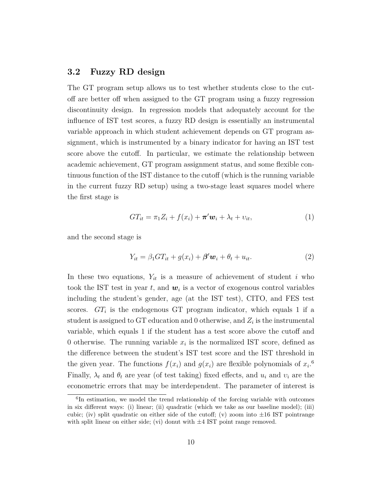#### **3.2 Fuzzy RD design**

The GT program setup allows us to test whether students close to the cutoff are better off when assigned to the GT program using a fuzzy regression discontinuity design. In regression models that adequately account for the influence of IST test scores, a fuzzy RD design is essentially an instrumental variable approach in which student achievement depends on GT program assignment, which is instrumented by a binary indicator for having an IST test score above the cutoff. In particular, we estimate the relationship between academic achievement, GT program assignment status, and some flexible continuous function of the IST distance to the cutoff (which is the running variable in the current fuzzy RD setup) using a two-stage least squares model where the first stage is

$$
GT_{it} = \pi_1 Z_i + f(x_i) + \boldsymbol{\pi}' \boldsymbol{w}_i + \lambda_t + v_{it}, \tag{1}
$$

and the second stage is

$$
Y_{it} = \beta_1 GT_{it} + g(x_i) + \beta' \mathbf{w}_i + \theta_t + u_{it}. \tag{2}
$$

In these two equations,  $Y_{it}$  is a measure of achievement of student *i* who took the IST test in year  $t$ , and  $w_i$  is a vector of exogenous control variables including the student's gender, age (at the IST test), CITO, and FES test scores.  $GT_i$  is the endogenous GT program indicator, which equals 1 if a student is assigned to GT education and 0 otherwise, and *Z<sup>i</sup>* is the instrumental variable, which equals 1 if the student has a test score above the cutoff and 0 otherwise. The running variable  $x_i$  is the normalized IST score, defined as the difference between the student's IST test score and the IST threshold in the given year. The functions  $f(x_i)$  and  $g(x_i)$  are flexible polynomials of  $x_i$ <sup>6</sup> Finally,  $\lambda_t$  and  $\theta_t$  are year (of test taking) fixed effects, and  $u_i$  and  $v_i$  are the econometric errors that may be interdependent. The parameter of interest is

<sup>&</sup>lt;sup>6</sup>In estimation, we model the trend relationship of the forcing variable with outcomes in six different ways: (i) linear; (ii) quadratic (which we take as our baseline model); (iii) cubic; (iv) split quadratic on either side of the cutoff; (v) zoom into  $\pm 16$  IST pointrange with split linear on either side; (vi) donut with  $\pm 4$  IST point range removed.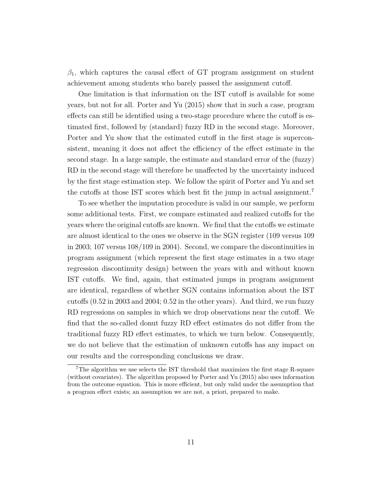$\beta_1$ , which captures the causal effect of GT program assignment on student achievement among students who barely passed the assignment cutoff.

One limitation is that information on the IST cutoff is available for some years, but not for all. Porter and Yu (2015) show that in such a case, program effects can still be identified using a two-stage procedure where the cutoff is estimated first, followed by (standard) fuzzy RD in the second stage. Moreover, Porter and Yu show that the estimated cutoff in the first stage is superconsistent, meaning it does not affect the efficiency of the effect estimate in the second stage. In a large sample, the estimate and standard error of the (fuzzy) RD in the second stage will therefore be unaffected by the uncertainty induced by the first stage estimation step. We follow the spirit of Porter and Yu and set the cutoffs at those IST scores which best fit the jump in actual assignment.<sup>7</sup>

To see whether the imputation procedure is valid in our sample, we perform some additional tests. First, we compare estimated and realized cutoffs for the years where the original cutoffs are known. We find that the cutoffs we estimate are almost identical to the ones we observe in the SGN register (109 versus 109 in 2003; 107 versus 108/109 in 2004). Second, we compare the discontinuities in program assignment (which represent the first stage estimates in a two stage regression discontinuity design) between the years with and without known IST cutoffs. We find, again, that estimated jumps in program assignment are identical, regardless of whether SGN contains information about the IST cutoffs (0.52 in 2003 and 2004; 0.52 in the other years). And third, we run fuzzy RD regressions on samples in which we drop observations near the cutoff. We find that the so-called donut fuzzy RD effect estimates do not differ from the traditional fuzzy RD effect estimates, to which we turn below. Consequently, we do not believe that the estimation of unknown cutoffs has any impact on our results and the corresponding conclusions we draw.

<sup>7</sup>The algorithm we use selects the IST threshold that maximizes the first stage R-square (without covariates). The algorithm proposed by Porter and Yu (2015) also uses information from the outcome equation. This is more efficient, but only valid under the assumption that a program effect exists; an assumption we are not, a priori, prepared to make.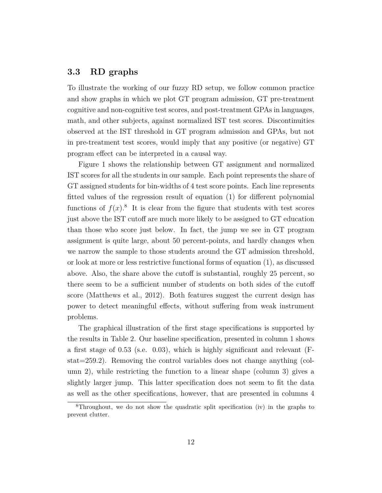#### **3.3 RD graphs**

To illustrate the working of our fuzzy RD setup, we follow common practice and show graphs in which we plot GT program admission, GT pre-treatment cognitive and non-cognitive test scores, and post-treatment GPAs in languages, math, and other subjects, against normalized IST test scores. Discontinuities observed at the IST threshold in GT program admission and GPAs, but not in pre-treatment test scores, would imply that any positive (or negative) GT program effect can be interpreted in a causal way.

Figure 1 shows the relationship between GT assignment and normalized IST scores for all the students in our sample. Each point represents the share of GT assigned students for bin-widths of 4 test score points. Each line represents fitted values of the regression result of equation (1) for different polynomial functions of  $f(x)$ .<sup>8</sup> It is clear from the figure that students with test scores just above the IST cutoff are much more likely to be assigned to GT education than those who score just below. In fact, the jump we see in GT program assignment is quite large, about 50 percent-points, and hardly changes when we narrow the sample to those students around the GT admission threshold, or look at more or less restrictive functional forms of equation (1), as discussed above. Also, the share above the cutoff is substantial, roughly 25 percent, so there seem to be a sufficient number of students on both sides of the cutoff score (Matthews et al., 2012). Both features suggest the current design has power to detect meaningful effects, without suffering from weak instrument problems.

The graphical illustration of the first stage specifications is supported by the results in Table 2. Our baseline specification, presented in column 1 shows a first stage of 0.53 (s.e. 0.03), which is highly significant and relevant (Fstat=259.2). Removing the control variables does not change anything (column 2), while restricting the function to a linear shape (column 3) gives a slightly larger jump. This latter specification does not seem to fit the data as well as the other specifications, however, that are presented in columns 4

<sup>8</sup>Throughout, we do not show the quadratic split specification (iv) in the graphs to prevent clutter.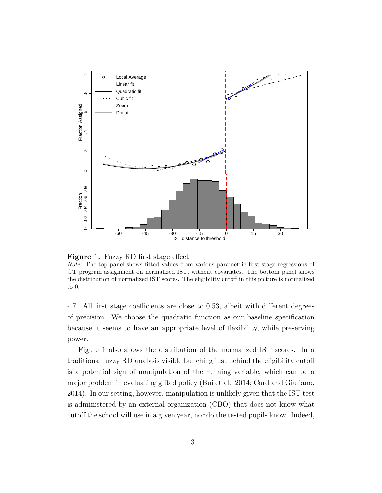

**Figure 1.** Fuzzy RD first stage effect

*Note:* The top panel shows fitted values from various parametric first stage regressions of GT program assignment on normalized IST, without covariates. The bottom panel shows the distribution of normalized IST scores. The eligibility cutoff in this picture is normalized to 0.

- 7. All first stage coefficients are close to 0.53, albeit with different degrees of precision. We choose the quadratic function as our baseline specification because it seems to have an appropriate level of flexibility, while preserving power.

Figure 1 also shows the distribution of the normalized IST scores. In a traditional fuzzy RD analysis visible bunching just behind the eligibility cutoff is a potential sign of manipulation of the running variable, which can be a major problem in evaluating gifted policy (Bui et al., 2014; Card and Giuliano, 2014). In our setting, however, manipulation is unlikely given that the IST test is administered by an external organization (CBO) that does not know what cutoff the school will use in a given year, nor do the tested pupils know. Indeed,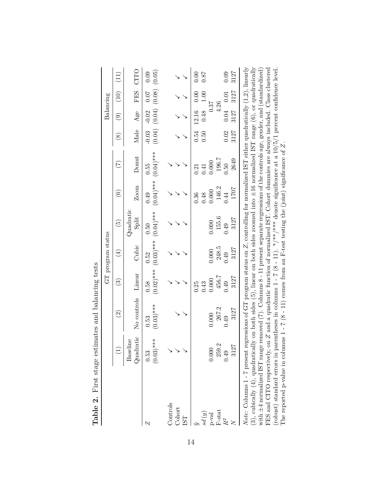|                                                                                                                                                                                                                                                                                                                                                                                                                                                                                                                                                                                                                                                                                                                                                                                                                                        |                       |                          |                        | $\operatorname{GT}$ program status   |                       |                       |                       |              | Balancing                   |                                    |              |
|----------------------------------------------------------------------------------------------------------------------------------------------------------------------------------------------------------------------------------------------------------------------------------------------------------------------------------------------------------------------------------------------------------------------------------------------------------------------------------------------------------------------------------------------------------------------------------------------------------------------------------------------------------------------------------------------------------------------------------------------------------------------------------------------------------------------------------------|-----------------------|--------------------------|------------------------|--------------------------------------|-----------------------|-----------------------|-----------------------|--------------|-----------------------------|------------------------------------|--------------|
|                                                                                                                                                                                                                                                                                                                                                                                                                                                                                                                                                                                                                                                                                                                                                                                                                                        | $\overline{1}$        | $\widehat{\mathfrak{D}}$ | $\widehat{\mathbb{C}}$ | $(\pm)$                              | $\widetilde{E}$       | $\widehat{\circ}$     | $(\mathcal{I})$       | $\circledS$  | $\odot$                     | $\left(10\right)$                  | (11)         |
|                                                                                                                                                                                                                                                                                                                                                                                                                                                                                                                                                                                                                                                                                                                                                                                                                                        | Quadratic<br>Baseline | No controls              | Linear                 | Cubic                                | Quadratic<br>Split    | Zoom                  | Donut                 | Male         | Age                         | FES                                | CITO         |
| N                                                                                                                                                                                                                                                                                                                                                                                                                                                                                                                                                                                                                                                                                                                                                                                                                                      | $(0.03)$ ***<br>0.53  | $(0.03)$ ***<br>0.53     | 0.58                   | $(0.03)****$<br>$(0.03)****$<br>0.52 | 0.50                  | $(0.04)$ ***<br>0.49  | $(0.04)$ ***<br>0.55  | $-0.03$      | $-0.02$                     | $(0.04)$ $(0.08)$ $(0.05)$<br>0.07 | 0.09         |
| Controls<br>Cohort<br><b>LST</b>                                                                                                                                                                                                                                                                                                                                                                                                                                                                                                                                                                                                                                                                                                                                                                                                       |                       |                          |                        |                                      |                       |                       |                       |              |                             |                                    |              |
| sd(y)<br>$p$ -val                                                                                                                                                                                                                                                                                                                                                                                                                                                                                                                                                                                                                                                                                                                                                                                                                      | 0.000                 | 0.000                    | 0.000<br>0.43<br>0.25  | 0.000                                | 0.000                 | 0.000<br>0.48<br>0.36 | 0.000<br>0.41<br>0.21 | 0.54<br>0.50 | 0.37<br>0.48<br>12.16       | 0.00<br>0.00                       | 0.00<br>0.87 |
| $F-stat$<br>$R^2$                                                                                                                                                                                                                                                                                                                                                                                                                                                                                                                                                                                                                                                                                                                                                                                                                      | 259.2<br>3127<br>0.49 | 267.2<br>3127<br>0.49    | 456.7<br>3127<br>0.49  | 248.5<br>3127<br>0.49                | 155.6<br>3127<br>0.49 | 146.2<br>1707<br>0.44 | 196.7<br>2649<br>0.50 | 3127<br>0.02 | $0.04$ 0.01<br>4.26<br>3127 | 3127                               | 3127<br>0.09 |
| (3), cubically (4), quadratically on both sides (5), linear on both sides zoomed into $\pm 16$ normalized IST range (6), or quadratically<br>Note: Columns 1 - 7 present regressions of GT program status on Z, controlling for normalized IST either quadratically $(1,2)$ , linearly<br>FES and CITO respectively, on $Z$ and a quadratic function of normalized IST. Cohort dummies are always included. Class clustered<br>with $\pm 4$ normalized IST range removed (7). Columns 8 - 11 present separate regressions of the controls age, gender, and (standardized)<br>(robust) standard errors in parentheses in columns $1 - 7 (8 - 11)$ . */**/** denote significance at a $10/5/1$ percent confidence level.<br>The reported p-value in columns $1 - 7$ (8 - 11) comes from an F-test testing the (joint) significance of Z. |                       |                          |                        |                                      |                       |                       |                       |              |                             |                                    |              |

| CO CO CO CO CO<br>)<br>ׇ֘֝֬֕      |
|-----------------------------------|
| $\frac{1}{2}$                     |
| İ                                 |
| נ<br>ב<br>ŗ,                      |
|                                   |
| ï<br>)<br>2<br>2<br>$\frac{1}{2}$ |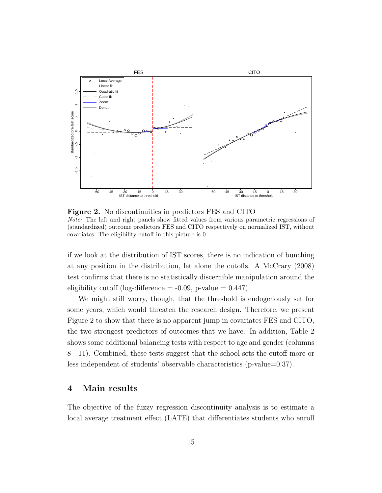

**Figure 2.** No discontinuities in predictors FES and CITO *Note:* The left and right panels show fitted values from various parametric regressions of (standardized) outcome predictors FES and CITO respectively on normalized IST, without covariates. The eligibility cutoff in this picture is 0.

if we look at the distribution of IST scores, there is no indication of bunching at any position in the distribution, let alone the cutoffs. A McCrary (2008) test confirms that there is no statistically discernible manipulation around the eligibility cutoff (log-difference  $= -0.09$ , p-value  $= 0.447$ ).

We might still worry, though, that the threshold is endogenously set for some years, which would threaten the research design. Therefore, we present Figure 2 to show that there is no apparent jump in covariates FES and CITO, the two strongest predictors of outcomes that we have. In addition, Table 2 shows some additional balancing tests with respect to age and gender (columns 8 - 11). Combined, these tests suggest that the school sets the cutoff more or less independent of students' observable characteristics (p-value=0.37).

#### **4 Main results**

The objective of the fuzzy regression discontinuity analysis is to estimate a local average treatment effect (LATE) that differentiates students who enroll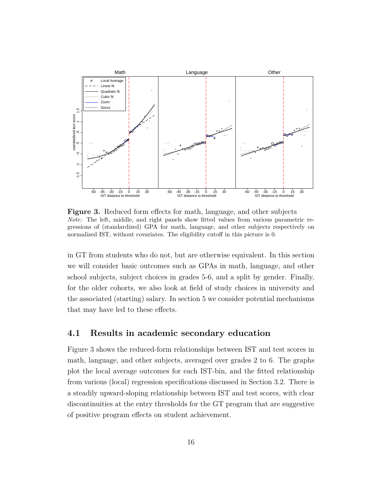

**Figure 3.** Reduced form effects for math, language, and other subjects *Note:* The left, middle, and right panels show fitted values from various parametric regressions of (standardized) GPA for math, language, and other subjects respectively on normalized IST, without covariates. The eligibility cutoff in this picture is 0.

in GT from students who do not, but are otherwise equivalent. In this section we will consider basic outcomes such as GPAs in math, language, and other school subjects, subject choices in grades 5-6, and a split by gender. Finally, for the older cohorts, we also look at field of study choices in university and the associated (starting) salary. In section 5 we consider potential mechanisms that may have led to these effects.

#### **4.1 Results in academic secondary education**

Figure 3 shows the reduced-form relationships between IST and test scores in math, language, and other subjects, averaged over grades 2 to 6. The graphs plot the local average outcomes for each IST-bin, and the fitted relationship from various (local) regression specifications discussed in Section 3.2. There is a steadily upward-sloping relationship between IST and test scores, with clear discontinuities at the entry thresholds for the GT program that are suggestive of positive program effects on student achievement.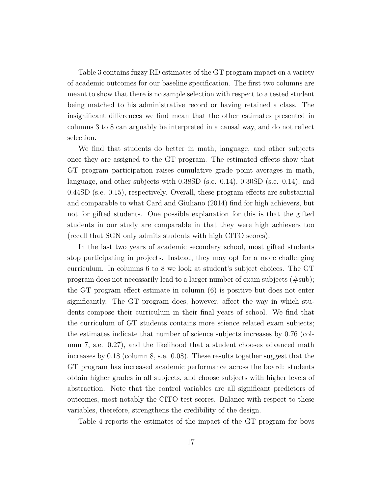Table 3 contains fuzzy RD estimates of the GT program impact on a variety of academic outcomes for our baseline specification. The first two columns are meant to show that there is no sample selection with respect to a tested student being matched to his administrative record or having retained a class. The insignificant differences we find mean that the other estimates presented in columns 3 to 8 can arguably be interpreted in a causal way, and do not reflect selection.

We find that students do better in math, language, and other subjects once they are assigned to the GT program. The estimated effects show that GT program participation raises cumulative grade point averages in math, language, and other subjects with 0.38SD (s.e. 0.14), 0.30SD (s.e. 0.14), and 0.44SD (s.e. 0.15), respectively. Overall, these program effects are substantial and comparable to what Card and Giuliano (2014) find for high achievers, but not for gifted students. One possible explanation for this is that the gifted students in our study are comparable in that they were high achievers too (recall that SGN only admits students with high CITO scores).

In the last two years of academic secondary school, most gifted students stop participating in projects. Instead, they may opt for a more challenging curriculum. In columns 6 to 8 we look at student's subject choices. The GT program does not necessarily lead to a larger number of exam subjects (#sub); the GT program effect estimate in column (6) is positive but does not enter significantly. The GT program does, however, affect the way in which students compose their curriculum in their final years of school. We find that the curriculum of GT students contains more science related exam subjects; the estimates indicate that number of science subjects increases by 0.76 (column 7, s.e. 0.27), and the likelihood that a student chooses advanced math increases by 0.18 (column 8, s.e. 0.08). These results together suggest that the GT program has increased academic performance across the board: students obtain higher grades in all subjects, and choose subjects with higher levels of abstraction. Note that the control variables are all significant predictors of outcomes, most notably the CITO test scores. Balance with respect to these variables, therefore, strengthens the credibility of the design.

Table 4 reports the estimates of the impact of the GT program for boys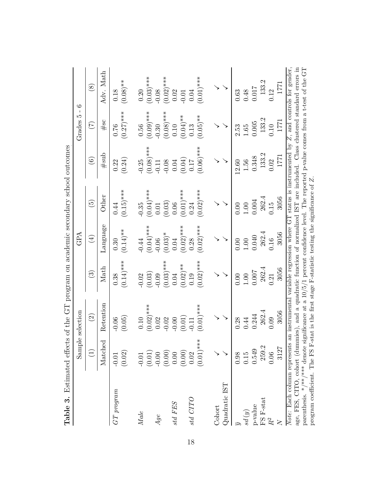| Table 3.                                                                                                                                                                                                                                                                                                                                                                                                                                                                         | Estimated effect                               | ts of the GT program on academic secondary school outcomes                                     |                                                |                                                |                                                  |                                                     |                                                |                                                                                                            |
|----------------------------------------------------------------------------------------------------------------------------------------------------------------------------------------------------------------------------------------------------------------------------------------------------------------------------------------------------------------------------------------------------------------------------------------------------------------------------------|------------------------------------------------|------------------------------------------------------------------------------------------------|------------------------------------------------|------------------------------------------------|--------------------------------------------------|-----------------------------------------------------|------------------------------------------------|------------------------------------------------------------------------------------------------------------|
|                                                                                                                                                                                                                                                                                                                                                                                                                                                                                  |                                                | Sample selection                                                                               |                                                | GPA                                            |                                                  |                                                     | $\mathbf{I}$<br>LQ<br>Grades                   | $\circ$                                                                                                    |
|                                                                                                                                                                                                                                                                                                                                                                                                                                                                                  | $\bigoplus$                                    | $\widehat{\mathfrak{D}}$                                                                       | $\widehat{\mathbb{G}}$                         | $\bigoplus$                                    | $\widetilde{5}$                                  | $\widehat{\odot}$                                   | E                                              | $\circledast$                                                                                              |
|                                                                                                                                                                                                                                                                                                                                                                                                                                                                                  | Matched                                        | Retention                                                                                      | Math                                           | Language                                       | Other                                            | #sub                                                | #sc                                            | Adv. Math                                                                                                  |
| $GT$ program                                                                                                                                                                                                                                                                                                                                                                                                                                                                     | (0.02)<br>$-0.01$                              | (0.05)<br>$-0.06$                                                                              | $(0.14)$ ***<br>0.38                           | $(0.14)$ **<br>0.30                            | $(0.15)$ ***<br>0.44                             | (0.24)<br>0.22                                      | $(0.27)$ ***<br>0.76                           | $(0.08)$ **<br>0.18                                                                                        |
| $\label{eq:1} Make$                                                                                                                                                                                                                                                                                                                                                                                                                                                              | (0.01)<br>$-0.01$                              | $(0.02)$ ***<br>$0.10\,$                                                                       | (0.03)<br>0.02                                 | $(0.04)$ ***<br>$-0.44$                        | $(0.04)$ ***<br>$-0.35$                          | $(0.08)$ ***<br>$-0.25$                             | $(0.09)$ ***<br>$0.56\,$                       | $(0.03)$ ***<br>$0.20\,$                                                                                   |
| Age                                                                                                                                                                                                                                                                                                                                                                                                                                                                              | (0.00)<br>$-0.00$                              | 0.02<br>$-0.02$                                                                                | $(0.03)$ ***<br>$-0.09$                        | $(0.03)*$<br>$-0.06$                           | (0.03)<br>0.01                                   | $-0.08$<br>$-0.11$                                  | $(0.08)$ ***<br>$-0.30$                        | $(0.02)$ ***<br>$-0.08$                                                                                    |
| $std$ $FES$                                                                                                                                                                                                                                                                                                                                                                                                                                                                      | (0.00)<br>0.00                                 | (0.01)<br>$-0.00$                                                                              | $(0.02)$ **<br>0.04                            | $(0.02)$ ***<br>0.04                           | $(0.01)$ ***<br>$0.06\,$                         | (0.04)<br>0.04                                      | $(0.04)$ **<br>0.10                            | 0.02<br>$-0.01$                                                                                            |
| oLLO pis                                                                                                                                                                                                                                                                                                                                                                                                                                                                         | $(0.01)$ ***<br>0.02                           | $(0.01)$ ***<br>0.11                                                                           | $(0.02)$ ***<br>0.19                           | $(0.02)$ ***<br>0.28                           | $(0.02)$ ***<br>0.24                             | $(***(90.06)$<br>0.17                               | $(0.05)$ **<br>0.13                            | $(0.01)$ ***<br>0.04                                                                                       |
| $Quadratic$ IST<br>Cohort                                                                                                                                                                                                                                                                                                                                                                                                                                                        |                                                |                                                                                                |                                                |                                                |                                                  |                                                     |                                                |                                                                                                            |
| age, FES, CITO, cohort (dummies), and a quadratic function of normalized IST are included. Class clustered standard errors in<br>parenthesis. */**/*** denote significance at a $10/5/1$ percent confidence level. The reported p-value comes from a t-test of the GT<br>program coefficient. The FS F-stat is the first stage F-statistic testing the significance of $Z$ .<br>Note: Each column represents<br>FS F-stat<br>$p$ -value<br>sd(y)<br>$\ensuremath{R^2}$<br>$\geq$ | 259.2<br>3127<br>0.549<br>0.06<br>0.98<br>0.15 | an instrumental variable regression where GT<br>262.4<br>3056<br>0.244<br>0.09<br>0.28<br>0.44 | 262.4<br>3056<br>0.007<br>1.00<br>0.21<br>0.00 | 262.4<br>3056<br>0.040<br>0.16<br>0.00<br>1.00 | 262.4<br>3056<br>0.004<br>0.15<br>$1.00$<br>0.00 | 133.2<br>1771<br>0.348<br>0.02<br>$1.56\,$<br>12.60 | 133.2<br>1771<br>0.005<br>0.10<br>1.65<br>2.53 | status is instrumented by $Z$ , and controls for gender,<br>133.2<br>1771<br>0.017<br>0.12<br>0.48<br>0.63 |

| j                                                                                                                                                                                                                              |
|--------------------------------------------------------------------------------------------------------------------------------------------------------------------------------------------------------------------------------|
|                                                                                                                                                                                                                                |
|                                                                                                                                                                                                                                |
| straining to the company of the company of the company of the company of the company of the company of the company of the company of the company of the company of the company of the company of the company of the company of |
| etimated etter it the Lil proman on academic secondary school outcom                                                                                                                                                           |
|                                                                                                                                                                                                                                |
| $\sum_{i=1}^{n}$<br>)                                                                                                                                                                                                          |
| ا<br>ح                                                                                                                                                                                                                         |
|                                                                                                                                                                                                                                |
| )<br>)<br>)<br>                                                                                                                                                                                                                |
| sarringer .c. c.<br>İ<br>$\overline{a}$                                                                                                                                                                                        |
| $F_{ab}$ <sub>2</sub><br>$\frac{1}{2}$                                                                                                                                                                                         |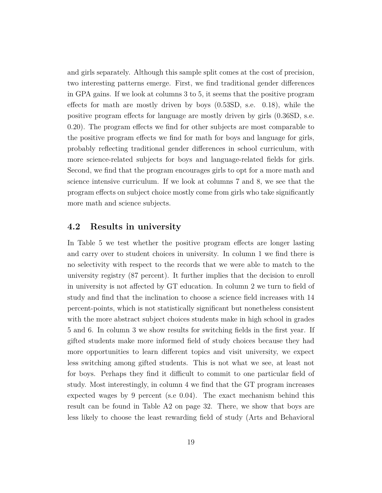and girls separately. Although this sample split comes at the cost of precision, two interesting patterns emerge. First, we find traditional gender differences in GPA gains. If we look at columns 3 to 5, it seems that the positive program effects for math are mostly driven by boys (0.53SD, s.e. 0.18), while the positive program effects for language are mostly driven by girls (0.36SD, s.e. 0.20). The program effects we find for other subjects are most comparable to the positive program effects we find for math for boys and language for girls, probably reflecting traditional gender differences in school curriculum, with more science-related subjects for boys and language-related fields for girls. Second, we find that the program encourages girls to opt for a more math and science intensive curriculum. If we look at columns 7 and 8, we see that the program effects on subject choice mostly come from girls who take significantly more math and science subjects.

#### **4.2 Results in university**

In Table 5 we test whether the positive program effects are longer lasting and carry over to student choices in university. In column 1 we find there is no selectivity with respect to the records that we were able to match to the university registry (87 percent). It further implies that the decision to enroll in university is not affected by GT education. In column 2 we turn to field of study and find that the inclination to choose a science field increases with 14 percent-points, which is not statistically significant but nonetheless consistent with the more abstract subject choices students make in high school in grades 5 and 6. In column 3 we show results for switching fields in the first year. If gifted students make more informed field of study choices because they had more opportunities to learn different topics and visit university, we expect less switching among gifted students. This is not what we see, at least not for boys. Perhaps they find it difficult to commit to one particular field of study. Most interestingly, in column 4 we find that the GT program increases expected wages by 9 percent (s.e 0.04). The exact mechanism behind this result can be found in Table A2 on page 32. There, we show that boys are less likely to choose the least rewarding field of study (Arts and Behavioral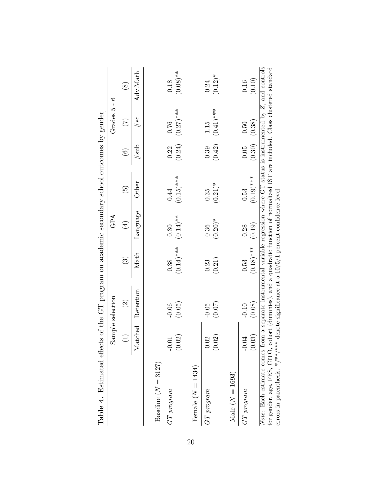|                                                                                                                                                                                                                                                             |         | Sample selection                                                                                       |              | GPA         |                          |           | Grades $5 - 6$  |               |
|-------------------------------------------------------------------------------------------------------------------------------------------------------------------------------------------------------------------------------------------------------------|---------|--------------------------------------------------------------------------------------------------------|--------------|-------------|--------------------------|-----------|-----------------|---------------|
|                                                                                                                                                                                                                                                             | Ξ       | $\widehat{\Omega}$                                                                                     | ల            | $(\pm)$     | $\widetilde{\mathbb{G}}$ | $\hat{e}$ | $(\mathcal{I})$ | $\circledast$ |
|                                                                                                                                                                                                                                                             | Matched | Retention                                                                                              | $\rm Mat$    | Language    | Other                    | #sub      | #sc             | Adv.Math      |
| Baseline $(N = 3127)$                                                                                                                                                                                                                                       |         |                                                                                                        |              |             |                          |           |                 |               |
| $GT$ program                                                                                                                                                                                                                                                | $-0.01$ | $-0.06$                                                                                                | 0.38         | 0.30        | 0.44                     | 0.22      | 0.76            | 0.18          |
|                                                                                                                                                                                                                                                             | (0.02)  | (0.05)                                                                                                 | $(0.14)$ *** | $(0.14)$ ** | $(0.15)$ ***             | (0.24)    | $(0.27)$ ***    | $(0.08)$ **   |
| Female $(N = 1434)$                                                                                                                                                                                                                                         |         |                                                                                                        |              |             |                          |           |                 |               |
| $G{\cal T}$ program                                                                                                                                                                                                                                         | 0.02    | $-0.05$                                                                                                | 0.23         | 0.36        | 0.35                     | 0.39      | 1.15            | 0.24          |
|                                                                                                                                                                                                                                                             | (0.02)  | (0.07)                                                                                                 | (0.21)       | $(0.20)*$   | $(0.21)$ <sup>*</sup>    | (0.42)    | $(0.41)$ ***    | $(0.12)^{*}$  |
| Male $(N = 1693)$                                                                                                                                                                                                                                           |         |                                                                                                        |              |             |                          |           |                 |               |
| $GT\ program$                                                                                                                                                                                                                                               | 0.04    | $-0.10$                                                                                                | 0.53         | 0.28        | 0.53                     | 0.05      | 0.50            | 0.16          |
|                                                                                                                                                                                                                                                             | 0.03    | (0.08)                                                                                                 | $(0.18)$ *** | (0.19)      | $(0.19)$ ***             | (0.30)    | (0.38)          | (0.10)        |
| for gender, age, FES, CITO, cohort (dummies), and a quadratic function of normalized IST are included. Class clustered standard<br>errors in parenthesis. */**/*** denote significance at a $10/5/1$ percent confidence level.<br>Note: Each estimate comes |         | from a separate instrumental variable regression where GT status is instrumented by $Z$ , and controls |              |             |                          |           |                 |               |

|                   | $\frac{1}{2}$                                                                                                                                                                                                                  |  |
|-------------------|--------------------------------------------------------------------------------------------------------------------------------------------------------------------------------------------------------------------------------|--|
|                   |                                                                                                                                                                                                                                |  |
|                   |                                                                                                                                                                                                                                |  |
|                   |                                                                                                                                                                                                                                |  |
|                   |                                                                                                                                                                                                                                |  |
|                   |                                                                                                                                                                                                                                |  |
|                   | ֧֧ׅ֧֧֧ׅ֧֧ׅ֧֧֧ׅ֧֧֧֧֧֧֛ׅ֧֛֚֚֚֚֚֚֚֚֚֚֚֚֚֚֚֚֚֚֚֚֚֚֚֚֚֚֚֚֚֚֚֚֝֝֝֓֝֬֜֓֝֬֜֓֝֓֝֬֜֝֬֝֬֝֬֝֬֜֜                                                                                                                                            |  |
|                   |                                                                                                                                                                                                                                |  |
|                   |                                                                                                                                                                                                                                |  |
|                   |                                                                                                                                                                                                                                |  |
|                   |                                                                                                                                                                                                                                |  |
|                   |                                                                                                                                                                                                                                |  |
|                   |                                                                                                                                                                                                                                |  |
|                   |                                                                                                                                                                                                                                |  |
|                   |                                                                                                                                                                                                                                |  |
|                   |                                                                                                                                                                                                                                |  |
|                   | )                                                                                                                                                                                                                              |  |
|                   | į                                                                                                                                                                                                                              |  |
|                   |                                                                                                                                                                                                                                |  |
|                   |                                                                                                                                                                                                                                |  |
|                   |                                                                                                                                                                                                                                |  |
|                   |                                                                                                                                                                                                                                |  |
|                   | j                                                                                                                                                                                                                              |  |
|                   |                                                                                                                                                                                                                                |  |
|                   |                                                                                                                                                                                                                                |  |
|                   |                                                                                                                                                                                                                                |  |
|                   | $\frac{1}{2}$                                                                                                                                                                                                                  |  |
|                   |                                                                                                                                                                                                                                |  |
|                   |                                                                                                                                                                                                                                |  |
|                   |                                                                                                                                                                                                                                |  |
|                   |                                                                                                                                                                                                                                |  |
|                   |                                                                                                                                                                                                                                |  |
|                   |                                                                                                                                                                                                                                |  |
|                   |                                                                                                                                                                                                                                |  |
|                   |                                                                                                                                                                                                                                |  |
|                   |                                                                                                                                                                                                                                |  |
|                   |                                                                                                                                                                                                                                |  |
|                   |                                                                                                                                                                                                                                |  |
|                   |                                                                                                                                                                                                                                |  |
|                   |                                                                                                                                                                                                                                |  |
|                   |                                                                                                                                                                                                                                |  |
|                   |                                                                                                                                                                                                                                |  |
|                   |                                                                                                                                                                                                                                |  |
|                   | e de la construction de la construction de la construction de la construction de la construction de la construction de la construction de la construction de la construction de la construction de la construction de la const |  |
|                   |                                                                                                                                                                                                                                |  |
|                   |                                                                                                                                                                                                                                |  |
|                   |                                                                                                                                                                                                                                |  |
|                   |                                                                                                                                                                                                                                |  |
|                   | ׇ֘֒                                                                                                                                                                                                                            |  |
|                   |                                                                                                                                                                                                                                |  |
|                   |                                                                                                                                                                                                                                |  |
|                   |                                                                                                                                                                                                                                |  |
|                   |                                                                                                                                                                                                                                |  |
| $\frac{1}{\zeta}$ | $\frac{1}{2}$<br>$\ddot{\phantom{0}}$                                                                                                                                                                                          |  |
|                   |                                                                                                                                                                                                                                |  |
|                   |                                                                                                                                                                                                                                |  |
|                   |                                                                                                                                                                                                                                |  |
|                   |                                                                                                                                                                                                                                |  |
|                   |                                                                                                                                                                                                                                |  |
|                   |                                                                                                                                                                                                                                |  |
|                   |                                                                                                                                                                                                                                |  |
|                   |                                                                                                                                                                                                                                |  |
|                   |                                                                                                                                                                                                                                |  |
|                   |                                                                                                                                                                                                                                |  |
|                   |                                                                                                                                                                                                                                |  |
|                   |                                                                                                                                                                                                                                |  |
|                   | j                                                                                                                                                                                                                              |  |
|                   |                                                                                                                                                                                                                                |  |
|                   |                                                                                                                                                                                                                                |  |
|                   |                                                                                                                                                                                                                                |  |
|                   |                                                                                                                                                                                                                                |  |
|                   |                                                                                                                                                                                                                                |  |
|                   |                                                                                                                                                                                                                                |  |
|                   |                                                                                                                                                                                                                                |  |
|                   |                                                                                                                                                                                                                                |  |
| j                 | i<br>District                                                                                                                                                                                                                  |  |
| l                 |                                                                                                                                                                                                                                |  |
|                   |                                                                                                                                                                                                                                |  |
|                   | Ì                                                                                                                                                                                                                              |  |
|                   | i                                                                                                                                                                                                                              |  |
|                   |                                                                                                                                                                                                                                |  |
|                   | J<br>١                                                                                                                                                                                                                         |  |
|                   |                                                                                                                                                                                                                                |  |
| $\overline{1}$    | ֧֧֧֧֧֧֧֧֧֧֧֧֧֛֛֧֧֧֧֧֧֛֛֧֧֧֧֧֧֧֧֧֛֛֛֛֛֛֚֚֚֚֚֝֟֜֝֬֝֬֝֬֝֓֝֬֝֬֝֬֝֬֝֬֝֬֝֬֜֝֬֓֝֬֝֬֝֬֓֝֬֝֬֝֬                                                                                                                                          |  |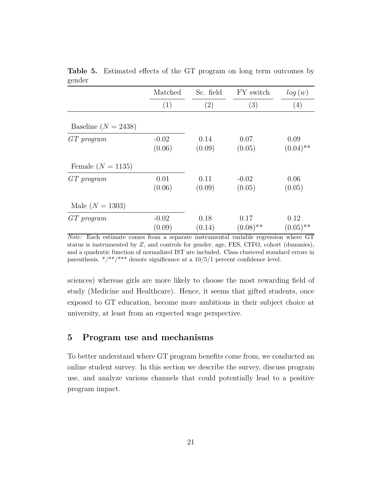|                       | Matched           | Sc. field      | FY switch           | log(w)              |
|-----------------------|-------------------|----------------|---------------------|---------------------|
|                       | (1)               | (2)            | $\left( 3\right)$   | (4)                 |
| Baseline $(N = 2438)$ |                   |                |                     |                     |
| $GT$ program          | $-0.02$<br>(0.06) | 0.14<br>(0.09) | 0.07<br>(0.05)      | 0.09<br>$(0.04)$ ** |
| Female $(N = 1135)$   |                   |                |                     |                     |
| $GT$ program          | 0.01<br>(0.06)    | 0.11<br>(0.09) | $-0.02$<br>(0.05)   | 0.06<br>(0.05)      |
| Male $(N = 1303)$     |                   |                |                     |                     |
| $GT$ program          | $-0.02$<br>(0.09) | 0.18<br>(0.14) | 0.17<br>$(0.08)$ ** | 0.12<br>$(0.05)$ ** |

**Table 5.** Estimated effects of the GT program on long term outcomes by gender

*Note:* Each estimate comes from a separate instrumental variable regression where GT status is instrumented by *Z*, and controls for gender, age, FES, CITO, cohort (dummies), and a quadratic function of normalized IST are included. Class clustered standard errors in parenthesis.  $*/**/***$  denote significance at a  $10/5/1$  percent confidence level.

sciences) whereas girls are more likely to choose the most rewarding field of study (Medicine and Healthcare). Hence, it seems that gifted students, once exposed to GT education, become more ambitious in their subject choice at university, at least from an expected wage perspective.

#### **5 Program use and mechanisms**

To better understand where GT program benefits come from, we conducted an online student survey. In this section we describe the survey, discuss program use, and analyze various channels that could potentially lead to a positive program impact.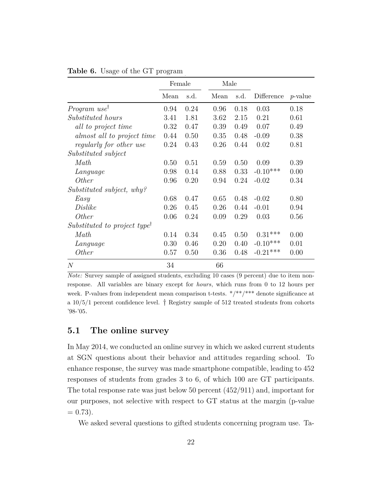|                                          | Female |      | Male |      |            |            |
|------------------------------------------|--------|------|------|------|------------|------------|
|                                          | Mean   | s.d. | Mean | s.d. | Difference | $p$ -value |
| <i>Program</i> use <sup>†</sup>          | 0.94   | 0.24 | 0.96 | 0.18 | 0.03       | 0.18       |
| Substituted hours                        | 3.41   | 1.81 | 3.62 | 2.15 | 0.21       | 0.61       |
| all to project time                      | 0.32   | 0.47 | 0.39 | 0.49 | 0.07       | 0.49       |
| almost all to project time               | 0.44   | 0.50 | 0.35 | 0.48 | $-0.09$    | 0.38       |
| regularly for other use                  | 0.24   | 0.43 | 0.26 | 0.44 | 0.02       | 0.81       |
| Substituted subject                      |        |      |      |      |            |            |
| Math                                     | 0.50   | 0.51 | 0.59 | 0.50 | 0.09       | 0.39       |
| Language                                 | 0.98   | 0.14 | 0.88 | 0.33 | $-0.10***$ | 0.00       |
| <i>Other</i>                             | 0.96   | 0.20 | 0.94 | 0.24 | $-0.02$    | 0.34       |
| Substituted subject, why?                |        |      |      |      |            |            |
| Easy                                     | 0.68   | 0.47 | 0.65 | 0.48 | $-0.02$    | 0.80       |
| Dislike                                  | 0.26   | 0.45 | 0.26 | 0.44 | $-0.01$    | 0.94       |
| <i>Other</i>                             | 0.06   | 0.24 | 0.09 | 0.29 | 0.03       | 0.56       |
| Substituted to project type <sup>†</sup> |        |      |      |      |            |            |
| Math                                     | 0.14   | 0.34 | 0.45 | 0.50 | $0.31***$  | 0.00       |
| Language                                 | 0.30   | 0.46 | 0.20 | 0.40 | $-0.10***$ | 0.01       |
| <i>Other</i>                             | 0.57   | 0.50 | 0.36 | 0.48 | $-0.21***$ | 0.00       |
| $\mathcal{N}$                            | 34     |      | 66   |      |            |            |

**Table 6.** Usage of the GT program

*Note:* Survey sample of assigned students, excluding 10 cases (9 percent) due to item nonresponse. All variables are binary except for *hours*, which runs from 0 to 12 hours per week. P-values from independent mean comparison t-tests.  $*/**/**$  denote significance at a  $10/5/1$  percent confidence level.  $\dagger$  Registry sample of 512 treated students from cohorts '98-'05.

#### **5.1 The online survey**

In May 2014, we conducted an online survey in which we asked current students at SGN questions about their behavior and attitudes regarding school. To enhance response, the survey was made smartphone compatible, leading to 452 responses of students from grades 3 to 6, of which 100 are GT participants. The total response rate was just below 50 percent (452/911) and, important for our purposes, not selective with respect to GT status at the margin (p-value  $= 0.73$ .

We asked several questions to gifted students concerning program use. Ta-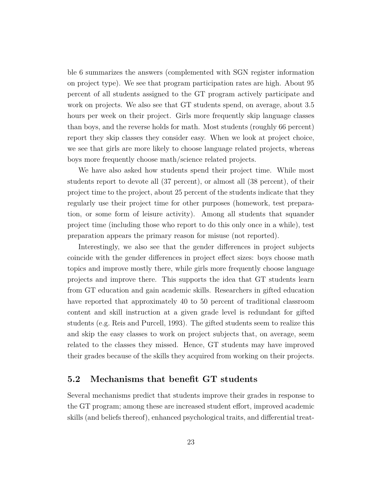ble 6 summarizes the answers (complemented with SGN register information on project type). We see that program participation rates are high. About 95 percent of all students assigned to the GT program actively participate and work on projects. We also see that GT students spend, on average, about 3.5 hours per week on their project. Girls more frequently skip language classes than boys, and the reverse holds for math. Most students (roughly 66 percent) report they skip classes they consider easy. When we look at project choice, we see that girls are more likely to choose language related projects, whereas boys more frequently choose math/science related projects.

We have also asked how students spend their project time. While most students report to devote all (37 percent), or almost all (38 percent), of their project time to the project, about 25 percent of the students indicate that they regularly use their project time for other purposes (homework, test preparation, or some form of leisure activity). Among all students that squander project time (including those who report to do this only once in a while), test preparation appears the primary reason for misuse (not reported).

Interestingly, we also see that the gender differences in project subjects coincide with the gender differences in project effect sizes: boys choose math topics and improve mostly there, while girls more frequently choose language projects and improve there. This supports the idea that GT students learn from GT education and gain academic skills. Researchers in gifted education have reported that approximately 40 to 50 percent of traditional classroom content and skill instruction at a given grade level is redundant for gifted students (e.g. Reis and Purcell, 1993). The gifted students seem to realize this and skip the easy classes to work on project subjects that, on average, seem related to the classes they missed. Hence, GT students may have improved their grades because of the skills they acquired from working on their projects.

#### **5.2 Mechanisms that benefit GT students**

Several mechanisms predict that students improve their grades in response to the GT program; among these are increased student effort, improved academic skills (and beliefs thereof), enhanced psychological traits, and differential treat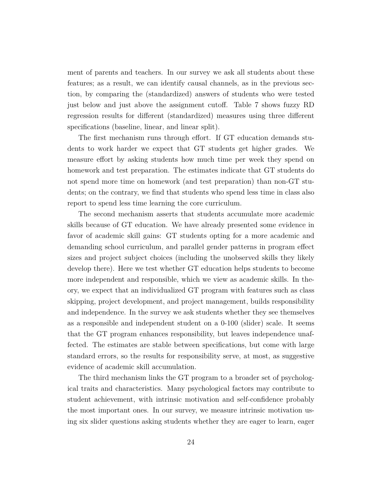ment of parents and teachers. In our survey we ask all students about these features; as a result, we can identify causal channels, as in the previous section, by comparing the (standardized) answers of students who were tested just below and just above the assignment cutoff. Table 7 shows fuzzy RD regression results for different (standardized) measures using three different specifications (baseline, linear, and linear split).

The first mechanism runs through effort. If GT education demands students to work harder we expect that GT students get higher grades. We measure effort by asking students how much time per week they spend on homework and test preparation. The estimates indicate that GT students do not spend more time on homework (and test preparation) than non-GT students; on the contrary, we find that students who spend less time in class also report to spend less time learning the core curriculum.

The second mechanism asserts that students accumulate more academic skills because of GT education. We have already presented some evidence in favor of academic skill gains: GT students opting for a more academic and demanding school curriculum, and parallel gender patterns in program effect sizes and project subject choices (including the unobserved skills they likely develop there). Here we test whether GT education helps students to become more independent and responsible, which we view as academic skills. In theory, we expect that an individualized GT program with features such as class skipping, project development, and project management, builds responsibility and independence. In the survey we ask students whether they see themselves as a responsible and independent student on a 0-100 (slider) scale. It seems that the GT program enhances responsibility, but leaves independence unaffected. The estimates are stable between specifications, but come with large standard errors, so the results for responsibility serve, at most, as suggestive evidence of academic skill accumulation.

The third mechanism links the GT program to a broader set of psychological traits and characteristics. Many psychological factors may contribute to student achievement, with intrinsic motivation and self-confidence probably the most important ones. In our survey, we measure intrinsic motivation using six slider questions asking students whether they are eager to learn, eager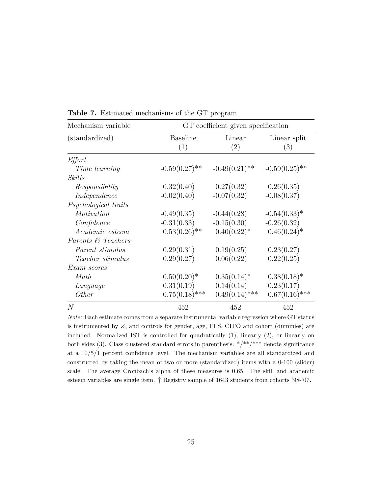| Mechanism variable       | GT coefficient given specification |                  |                     |  |  |  |
|--------------------------|------------------------------------|------------------|---------------------|--|--|--|
| (standardized)           | <b>Baseline</b><br>(1)             | Linear<br>(2)    | Linear split<br>(3) |  |  |  |
| Effort                   |                                    |                  |                     |  |  |  |
| Time learning            | $-0.59(0.27)$ **                   | $-0.49(0.21)$ ** | $-0.59(0.25)$ **    |  |  |  |
| Skills                   |                                    |                  |                     |  |  |  |
| Responsibility           | 0.32(0.40)                         | 0.27(0.32)       | 0.26(0.35)          |  |  |  |
| Independence             | $-0.02(0.40)$                      | $-0.07(0.32)$    | $-0.08(0.37)$       |  |  |  |
| Psychological traits     |                                    |                  |                     |  |  |  |
| Motivation               | $-0.49(0.35)$                      | $-0.44(0.28)$    | $-0.54(0.33)^*$     |  |  |  |
| Confidence               | $-0.31(0.33)$                      | $-0.15(0.30)$    | $-0.26(0.32)$       |  |  |  |
| Academic esteem          | $0.53(0.26)$ **                    | $0.40(0.22)^*$   | $0.46(0.24)^*$      |  |  |  |
| Parents & Teachers       |                                    |                  |                     |  |  |  |
| Parent stimulus          | 0.29(0.31)                         | 0.19(0.25)       | 0.23(0.27)          |  |  |  |
| Teacher stimulus         | 0.29(0.27)                         | 0.06(0.22)       | 0.22(0.25)          |  |  |  |
| Exam scores <sup>†</sup> |                                    |                  |                     |  |  |  |
| Math                     | $0.50(0.20)$ <sup>*</sup>          | $0.35(0.14)^*$   | $0.38(0.18)^*$      |  |  |  |
| Language                 | 0.31(0.19)                         | 0.14(0.14)       | 0.23(0.17)          |  |  |  |
| <i>Other</i>             | $0.75(0.18)$ ***                   | $0.49(0.14)$ *** | $0.67(0.16)$ ***    |  |  |  |
| N                        | 452                                | 452              | 452                 |  |  |  |

**Table 7.** Estimated mechanisms of the GT program

*Note:* Each estimate comes from a separate instrumental variable regression where GT status is instrumented by *Z*, and controls for gender, age, FES, CITO and cohort (dummies) are included. Normalized IST is controlled for quadratically (1), linearly (2), or linearly on both sides (3). Class clustered standard errors in parenthesis.  $*/**/***$  denote significance at a 10/5/1 percent confidence level. The mechanism variables are all standardized and constructed by taking the mean of two or more (standardized) items with a 0-100 (slider) scale. The average Cronbach's alpha of these measures is 0.65. The skill and academic esteem variables are single item. † Registry sample of 1643 students from cohorts '98-'07.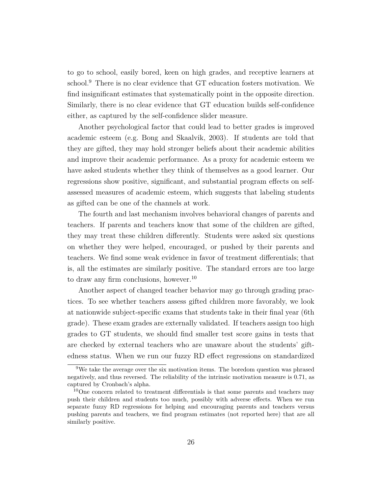to go to school, easily bored, keen on high grades, and receptive learners at school.<sup>9</sup> There is no clear evidence that GT education fosters motivation. We find insignificant estimates that systematically point in the opposite direction. Similarly, there is no clear evidence that GT education builds self-confidence either, as captured by the self-confidence slider measure.

Another psychological factor that could lead to better grades is improved academic esteem (e.g. Bong and Skaalvik, 2003). If students are told that they are gifted, they may hold stronger beliefs about their academic abilities and improve their academic performance. As a proxy for academic esteem we have asked students whether they think of themselves as a good learner. Our regressions show positive, significant, and substantial program effects on selfassessed measures of academic esteem, which suggests that labeling students as gifted can be one of the channels at work.

The fourth and last mechanism involves behavioral changes of parents and teachers. If parents and teachers know that some of the children are gifted, they may treat these children differently. Students were asked six questions on whether they were helped, encouraged, or pushed by their parents and teachers. We find some weak evidence in favor of treatment differentials; that is, all the estimates are similarly positive. The standard errors are too large to draw any firm conclusions, however.<sup>10</sup>

Another aspect of changed teacher behavior may go through grading practices. To see whether teachers assess gifted children more favorably, we look at nationwide subject-specific exams that students take in their final year (6th grade). These exam grades are externally validated. If teachers assign too high grades to GT students, we should find smaller test score gains in tests that are checked by external teachers who are unaware about the students' giftedness status. When we run our fuzzy RD effect regressions on standardized

<sup>9</sup>We take the average over the six motivation items. The boredom question was phrased negatively, and thus reversed. The reliability of the intrinsic motivation measure is 0.71, as captured by Cronbach's alpha.

 $10$ One concern related to treatment differentials is that some parents and teachers may push their children and students too much, possibly with adverse effects. When we run separate fuzzy RD regressions for helping and encouraging parents and teachers versus pushing parents and teachers, we find program estimates (not reported here) that are all similarly positive.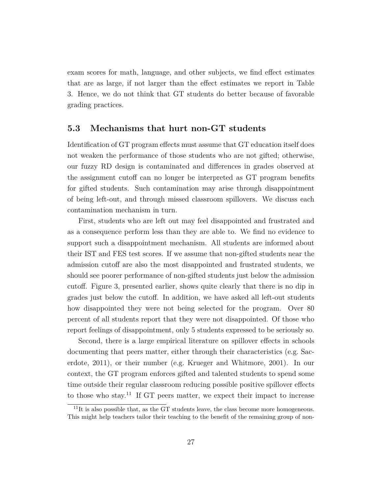exam scores for math, language, and other subjects, we find effect estimates that are as large, if not larger than the effect estimates we report in Table 3. Hence, we do not think that GT students do better because of favorable grading practices.

#### **5.3 Mechanisms that hurt non-GT students**

Identification of GT program effects must assume that GT education itself does not weaken the performance of those students who are not gifted; otherwise, our fuzzy RD design is contaminated and differences in grades observed at the assignment cutoff can no longer be interpreted as GT program benefits for gifted students. Such contamination may arise through disappointment of being left-out, and through missed classroom spillovers. We discuss each contamination mechanism in turn.

First, students who are left out may feel disappointed and frustrated and as a consequence perform less than they are able to. We find no evidence to support such a disappointment mechanism. All students are informed about their IST and FES test scores. If we assume that non-gifted students near the admission cutoff are also the most disappointed and frustrated students, we should see poorer performance of non-gifted students just below the admission cutoff. Figure 3, presented earlier, shows quite clearly that there is no dip in grades just below the cutoff. In addition, we have asked all left-out students how disappointed they were not being selected for the program. Over 80 percent of all students report that they were not disappointed. Of those who report feelings of disappointment, only 5 students expressed to be seriously so.

Second, there is a large empirical literature on spillover effects in schools documenting that peers matter, either through their characteristics (e.g. Sacerdote, 2011), or their number (e.g. Krueger and Whitmore, 2001). In our context, the GT program enforces gifted and talented students to spend some time outside their regular classroom reducing possible positive spillover effects to those who stay.<sup>11</sup> If GT peers matter, we expect their impact to increase

 $11$ It is also possible that, as the GT students leave, the class become more homogeneous. This might help teachers tailor their teaching to the benefit of the remaining group of non-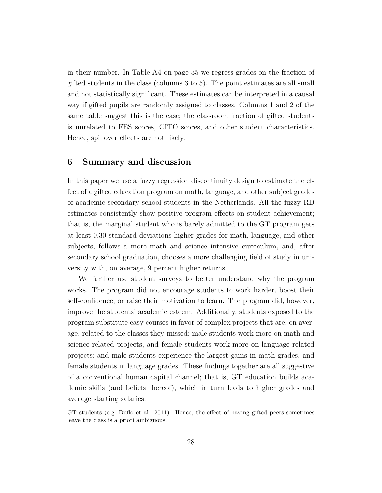in their number. In Table A4 on page 35 we regress grades on the fraction of gifted students in the class (columns 3 to 5). The point estimates are all small and not statistically significant. These estimates can be interpreted in a causal way if gifted pupils are randomly assigned to classes. Columns 1 and 2 of the same table suggest this is the case; the classroom fraction of gifted students is unrelated to FES scores, CITO scores, and other student characteristics. Hence, spillover effects are not likely.

#### **6 Summary and discussion**

In this paper we use a fuzzy regression discontinuity design to estimate the effect of a gifted education program on math, language, and other subject grades of academic secondary school students in the Netherlands. All the fuzzy RD estimates consistently show positive program effects on student achievement; that is, the marginal student who is barely admitted to the GT program gets at least 0.30 standard deviations higher grades for math, language, and other subjects, follows a more math and science intensive curriculum, and, after secondary school graduation, chooses a more challenging field of study in university with, on average, 9 percent higher returns.

We further use student surveys to better understand why the program works. The program did not encourage students to work harder, boost their self-confidence, or raise their motivation to learn. The program did, however, improve the students' academic esteem. Additionally, students exposed to the program substitute easy courses in favor of complex projects that are, on average, related to the classes they missed; male students work more on math and science related projects, and female students work more on language related projects; and male students experience the largest gains in math grades, and female students in language grades. These findings together are all suggestive of a conventional human capital channel; that is, GT education builds academic skills (and beliefs thereof), which in turn leads to higher grades and average starting salaries.

GT students (e.g. Duflo et al., 2011). Hence, the effect of having gifted peers sometimes leave the class is a priori ambiguous.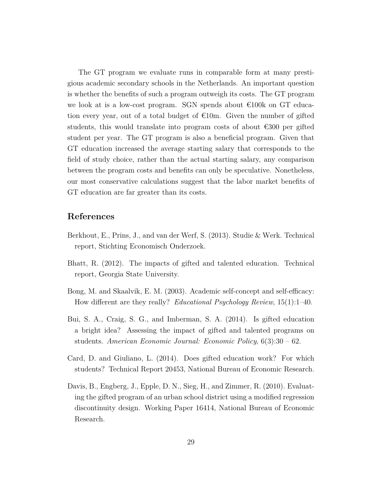The GT program we evaluate runs in comparable form at many prestigious academic secondary schools in the Netherlands. An important question is whether the benefits of such a program outweigh its costs. The GT program we look at is a low-cost program. SGN spends about  $\epsilon$ 100k on GT education every year, out of a total budget of  $\epsilon$ 10m. Given the number of gifted students, this would translate into program costs of about  $\epsilon$ 300 per gifted student per year. The GT program is also a beneficial program. Given that GT education increased the average starting salary that corresponds to the field of study choice, rather than the actual starting salary, any comparison between the program costs and benefits can only be speculative. Nonetheless, our most conservative calculations suggest that the labor market benefits of GT education are far greater than its costs.

#### **References**

- Berkhout, E., Prins, J., and van der Werf, S. (2013). Studie & Werk. Technical report, Stichting Economisch Onderzoek.
- Bhatt, R. (2012). The impacts of gifted and talented education. Technical report, Georgia State University.
- Bong, M. and Skaalvik, E. M. (2003). Academic self-concept and self-efficacy: How different are they really? *Educational Psychology Review*, 15(1):1–40.
- Bui, S. A., Craig, S. G., and Imberman, S. A. (2014). Is gifted education a bright idea? Assessing the impact of gifted and talented programs on students. *American Economic Journal: Economic Policy*, 6(3):30 – 62.
- Card, D. and Giuliano, L. (2014). Does gifted education work? For which students? Technical Report 20453, National Bureau of Economic Research.
- Davis, B., Engberg, J., Epple, D. N., Sieg, H., and Zimmer, R. (2010). Evaluating the gifted program of an urban school district using a modified regression discontinuity design. Working Paper 16414, National Bureau of Economic Research.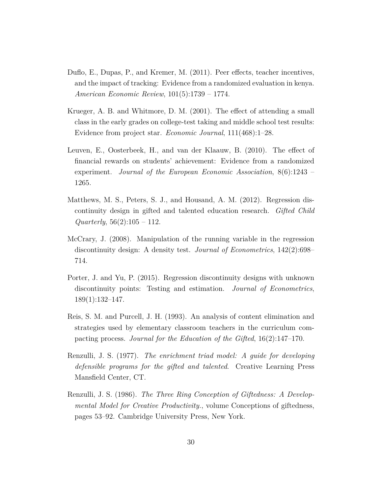- Duflo, E., Dupas, P., and Kremer, M. (2011). Peer effects, teacher incentives, and the impact of tracking: Evidence from a randomized evaluation in kenya. *American Economic Review*, 101(5):1739 – 1774.
- Krueger, A. B. and Whitmore, D. M. (2001). The effect of attending a small class in the early grades on college-test taking and middle school test results: Evidence from project star. *Economic Journal*, 111(468):1–28.
- Leuven, E., Oosterbeek, H., and van der Klaauw, B. (2010). The effect of financial rewards on students' achievement: Evidence from a randomized experiment. *Journal of the European Economic Association*, 8(6):1243 – 1265.
- Matthews, M. S., Peters, S. J., and Housand, A. M. (2012). Regression discontinuity design in gifted and talented education research. *Gifted Child Quarterly*, 56(2):105 – 112.
- McCrary, J. (2008). Manipulation of the running variable in the regression discontinuity design: A density test. *Journal of Econometrics*, 142(2):698– 714.
- Porter, J. and Yu, P. (2015). Regression discontinuity designs with unknown discontinuity points: Testing and estimation. *Journal of Econometrics*, 189(1):132–147.
- Reis, S. M. and Purcell, J. H. (1993). An analysis of content elimination and strategies used by elementary classroom teachers in the curriculum compacting process. *Journal for the Education of the Gifted*, 16(2):147–170.
- Renzulli, J. S. (1977). *The enrichment triad model: A guide for developing defensible programs for the gifted and talented*. Creative Learning Press Mansfield Center, CT.
- Renzulli, J. S. (1986). *The Three Ring Conception of Giftedness: A Developmental Model for Creative Productivity.*, volume Conceptions of giftedness, pages 53–92. Cambridge University Press, New York.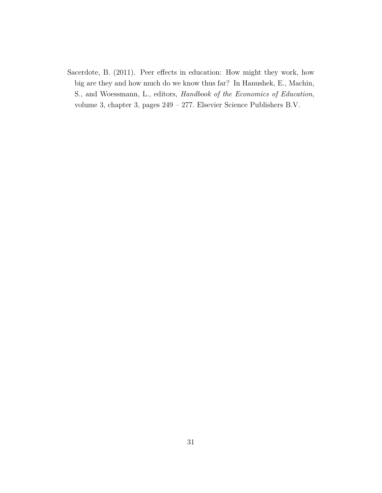Sacerdote, B. (2011). Peer effects in education: How might they work, how big are they and how much do we know thus far? In Hanushek, E., Machin, S., and Woessmann, L., editors, *Handbook of the Economics of Education*, volume 3, chapter 3, pages 249 – 277. Elsevier Science Publishers B.V.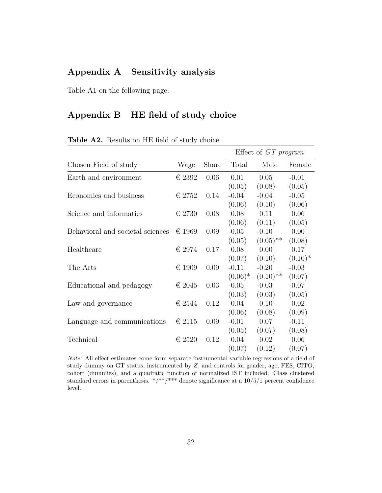### **Appendix A Sensitivity analysis**

Table A1 on the following page.

### **Appendix B HE field of study choice**

|                                  |                 |       |            | Effect of GT program   |           |
|----------------------------------|-----------------|-------|------------|------------------------|-----------|
| Chosen Field of study            | Wage            | Share | Total      | Male                   | Female    |
| Earth and environment            | $\epsilon$ 2392 | 0.06  | 0.01       | 0.05                   | $-0.01$   |
|                                  |                 |       | (0.05)     | (0.08)                 | (0.05)    |
| Economics and business           | € 2752          | 0.14  | $-0.04$    | $-0.04$                | $-0.05$   |
|                                  |                 |       | (0.06)     | (0.10)                 | (0.06)    |
| Science and informatics          | € 2730          | 0.08  | 0.08       | 0.11                   | 0.06      |
|                                  |                 |       | (0.06)     | (0.11)                 | (0.05)    |
| Behavioral and societal sciences | $\epsilon$ 1969 | 0.09  | $-0.05$    | $-0.10$                | 0.00      |
|                                  |                 |       | (0.05)     | $(0.05)$ <sup>**</sup> | (0.08)    |
| Healthcare                       | € 2974          | 0.17  | 0.08       | 0.00                   | 0.17      |
|                                  |                 |       | (0.07)     | (0.10)                 | $(0.10)*$ |
| The Arts                         | $\epsilon$ 1909 | 0.09  | $-0.11$    | $-0.20$                | $-0.03$   |
|                                  |                 |       | $(0.06)^*$ | $(0.10)$ <sup>**</sup> | (0.07)    |
| Educational and pedagogy         | $\in$ 2045      | 0.03  | $-0.05$    | $-0.03$                | $-0.07$   |
|                                  |                 |       | (0.03)     | (0.03)                 | (0.05)    |
| Law and governance               | $\epsilon$ 2544 | 0.12  | 0.04       | 0.10                   | $-0.02$   |
|                                  |                 |       | (0.06)     | (0.08)                 | (0.09)    |
| Language and communications      | $\epsilon$ 2115 | 0.09  | $-0.01$    | 0.07                   | $-0.11$   |
|                                  |                 |       | (0.05)     | (0.07)                 | (0.08)    |
| Technical                        | $\epsilon$ 2520 | 0.12  | 0.04       | 0.02                   | 0.06      |
|                                  |                 |       | (0.07)     | (0.12)                 | (0.07)    |

**Table A2.** Results on HE field of study choice

*Note:* All effect estimates come form separate instrumental variable regressions of a field of study dummy on GT status, instrumented by *Z*, and controls for gender, age, FES, CITO, cohort (dummies), and a quadratic function of normalized IST included. Class clustered standard errors in parenthesis.  $*/**/**$  denote significance at a 10/5/1 percent confidence level.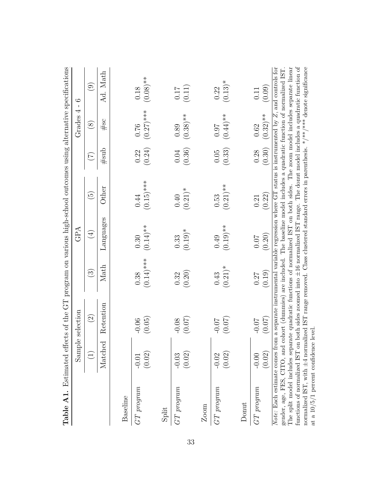|                                                                                                                                                                                                                                                                                                                                                      |                   | <b>Table A1.</b> Estimated effects of the GT program on various high-school outcomes using alternative specifications                                                                                                                                                                                                                                                         |                        |                               |                         |                    |                           |                               |
|------------------------------------------------------------------------------------------------------------------------------------------------------------------------------------------------------------------------------------------------------------------------------------------------------------------------------------------------------|-------------------|-------------------------------------------------------------------------------------------------------------------------------------------------------------------------------------------------------------------------------------------------------------------------------------------------------------------------------------------------------------------------------|------------------------|-------------------------------|-------------------------|--------------------|---------------------------|-------------------------------|
|                                                                                                                                                                                                                                                                                                                                                      |                   | Sample selection                                                                                                                                                                                                                                                                                                                                                              |                        | GPA                           |                         |                    | Grades 4                  | $\circ$<br>$\mathbf{I}$       |
|                                                                                                                                                                                                                                                                                                                                                      | $\widehat{\Xi}$   | $\widehat{\Omega}$                                                                                                                                                                                                                                                                                                                                                            | $\widehat{\mathbb{C}}$ | $(\pm)$                       | $\widetilde{5}$         | $(\mathcal{I})$    | $\circledS$               | $\odot$                       |
|                                                                                                                                                                                                                                                                                                                                                      | Matched           | Retention                                                                                                                                                                                                                                                                                                                                                                     | Math                   | Languages                     | $_{\rm Other}$          | #sub               | #sc                       | Ad. Math                      |
| Baseline                                                                                                                                                                                                                                                                                                                                             |                   |                                                                                                                                                                                                                                                                                                                                                                               |                        |                               |                         |                    |                           |                               |
| $GT$ program                                                                                                                                                                                                                                                                                                                                         | (0.02)<br>$-0.01$ | (0.05)<br>$-0.06$                                                                                                                                                                                                                                                                                                                                                             | $(0.14)$ ***<br>0.38   | $(0.14)$ **<br>0.30           | $(0.15)$ ***<br>0.44    | (0.24)<br>0.22     | $(0.27)$ ***<br>0.76      | $(0.08)$ **<br>0.18           |
| Split                                                                                                                                                                                                                                                                                                                                                |                   |                                                                                                                                                                                                                                                                                                                                                                               |                        |                               |                         |                    |                           |                               |
| $GT\ program$                                                                                                                                                                                                                                                                                                                                        | (0.02)<br>$-0.03$ | (0.07)<br>$-0.08$                                                                                                                                                                                                                                                                                                                                                             | (0.20)<br>0.32         | $(0.19)$ <sup>*</sup><br>0.33 | $(0.21)$ *<br>$0.40\,$  | (0.36)<br>$0.04\,$ | $(0.38)$ **<br>0.89       | (0.11)<br>$0.17\,$            |
| $\mathbf{Z}$ oom                                                                                                                                                                                                                                                                                                                                     |                   |                                                                                                                                                                                                                                                                                                                                                                               |                        |                               |                         |                    |                           |                               |
| $GT\ program$                                                                                                                                                                                                                                                                                                                                        | (0.02)<br>$-0.02$ | (0.07)<br>$-0.07$                                                                                                                                                                                                                                                                                                                                                             | $(0.21)$ *<br>0.43     | $(0.19)$ **<br>0.49           | $(0.21)$ **<br>$0.53\,$ | (0.33)<br>0.05     | $(0.44)$ **<br>$\!\!16.0$ | $(0.13)$ <sup>*</sup><br>0.22 |
| Donut                                                                                                                                                                                                                                                                                                                                                |                   |                                                                                                                                                                                                                                                                                                                                                                               |                        |                               |                         |                    |                           |                               |
| $GT$ program                                                                                                                                                                                                                                                                                                                                         | (0.02)<br>$-0.00$ | (0.07)<br>$-0.07$                                                                                                                                                                                                                                                                                                                                                             | (0.19)<br><b>170</b>   | (0.20)<br>0.07                | (0.22)<br>0.21          | (0.30)<br>0.28     | $(0.32)$ **<br>0.62       | (0.09)<br>0.11                |
| normalized IST, with $\pm 4$ normalized IST range removed. Class clustered standard errors in parenthesis. */***/*** denote significance<br>gender, age, FES, CITO, and cohort (dummies) are included. The baseline model includes a quadratic function of normalized IST<br>at a $10/5/1$ percent confidence level<br>functions of normalized IST o |                   | n both sides zoomed into ±16 normalized IST range. The donut model includes a quadratic function of<br>The split model includes separate quadratic functions of normalized IST on both sides. The zoom model includes separate linear<br>Note: Each estimate comes from a separate instrumental variable regression where GT status is instrumented by $Z$ , and controls for |                        |                               |                         |                    |                           |                               |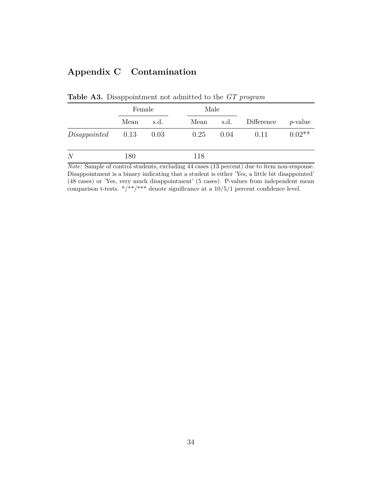# **Appendix C Contamination**

|                     | Female |      | Male |      |            |                 |
|---------------------|--------|------|------|------|------------|-----------------|
|                     | Mean   | s.d. | Mean | s.d. | Difference | <i>p</i> -value |
| $Disappointed$ 0.13 |        | 0.03 | 0.25 | 0.04 | 0.11       | $0.02**$        |
| N                   | 180    |      | 118  |      |            |                 |

**Table A3.** Disappointment not admitted to the *GT program*

*Note:* Sample of control students, excluding 44 cases (13 percent) due to item non-response. Disappointment is a binary indicating that a student is either 'Yes, a little bit disappointed' (48 cases) or 'Yes, very much disappointment' (5 cases). P-values from independent mean comparison t-tests. \*/\*\*/\*\*\* denote significance at a  $10/5/1$  percent confidence level.